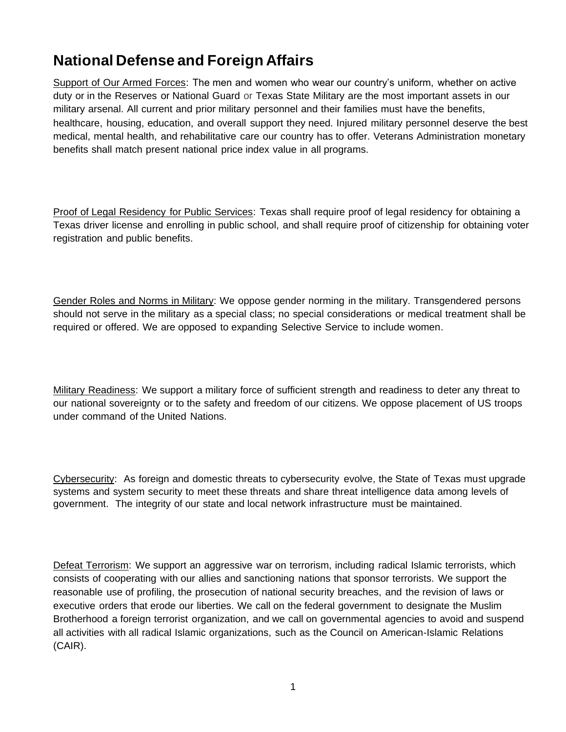## **National Defense and Foreign Affairs**

Support of Our Armed Forces: The men and women who wear our country's uniform, whether on active duty or in the Reserves or National Guard or Texas State Military are the most important assets in our military arsenal. All current and prior military personnel and their families must have the benefits, healthcare, housing, education, and overall support they need. Injured military personnel deserve the best medical, mental health, and rehabilitative care our country has to offer. Veterans Administration monetary benefits shall match present national price index value in all programs.

Proof of Legal Residency for Public Services: Texas shall require proof of legal residency for obtaining a Texas driver license and enrolling in public school, and shall require proof of citizenship for obtaining voter registration and public benefits.

Gender Roles and Norms in Military: We oppose gender norming in the military. Transgendered persons should not serve in the military as a special class; no special considerations or medical treatment shall be required or offered. We are opposed to expanding Selective Service to include women.

Military Readiness: We support a military force of sufficient strength and readiness to deter any threat to our national sovereignty or to the safety and freedom of our citizens. We oppose placement of US troops under command of the United Nations.

Cybersecurity: As foreign and domestic threats to cybersecurity evolve, the State of Texas must upgrade systems and system security to meet these threats and share threat intelligence data among levels of government. The integrity of our state and local network infrastructure must be maintained.

Defeat Terrorism: We support an aggressive war on terrorism, including radical Islamic terrorists, which consists of cooperating with our allies and sanctioning nations that sponsor terrorists. We support the reasonable use of profiling, the prosecution of national security breaches, and the revision of laws or executive orders that erode our liberties. We call on the federal government to designate the Muslim Brotherhood a foreign terrorist organization, and we call on governmental agencies to avoid and suspend all activities with all radical Islamic organizations, such as the Council on American-Islamic Relations (CAIR).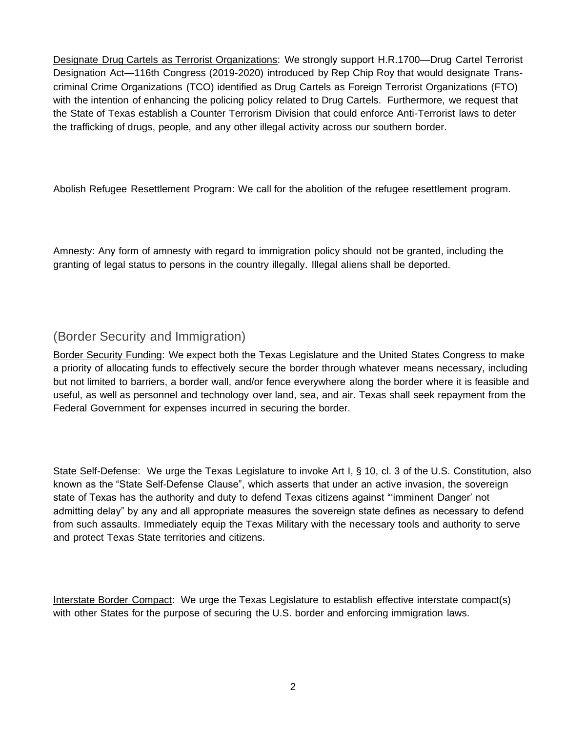Designate Drug Cartels as Terrorist Organizations: We strongly support H.R.1700—Drug Cartel Terrorist Designation Act—116th Congress (2019-2020) introduced by Rep Chip Roy that would designate Transcriminal Crime Organizations (TCO) identified as Drug Cartels as Foreign Terrorist Organizations (FTO) with the intention of enhancing the policing policy related to Drug Cartels. Furthermore, we request that the State of Texas establish a Counter Terrorism Division that could enforce Anti-Terrorist laws to deter the trafficking of drugs, people, and any other illegal activity across our southern border.

Abolish Refugee Resettlement Program: We call for the abolition of the refugee resettlement program.

Amnesty: Any form of amnesty with regard to immigration policy should not be granted, including the granting of legal status to persons in the country illegally. Illegal aliens shall be deported.

## (Border Security and Immigration)

Border Security Funding: We expect both the Texas Legislature and the United States Congress to make a priority of allocating funds to effectively secure the border through whatever means necessary, including but not limited to barriers, a border wall, and/or fence everywhere along the border where it is feasible and useful, as well as personnel and technology over land, sea, and air. Texas shall seek repayment from the Federal Government for expenses incurred in securing the border.

State Self-Defense: We urge the Texas Legislature to invoke Art I, § 10, cl. 3 of the U.S. Constitution, also known as the "State Self-Defense Clause", which asserts that under an active invasion, the sovereign state of Texas has the authority and duty to defend Texas citizens against "'imminent Danger' not admitting delay" by any and all appropriate measures the sovereign state defines as necessary to defend from such assaults. Immediately equip the Texas Military with the necessary tools and authority to serve and protect Texas State territories and citizens.

Interstate Border Compact: We urge the Texas Legislature to establish effective interstate compact(s) with other States for the purpose of securing the U.S. border and enforcing immigration laws.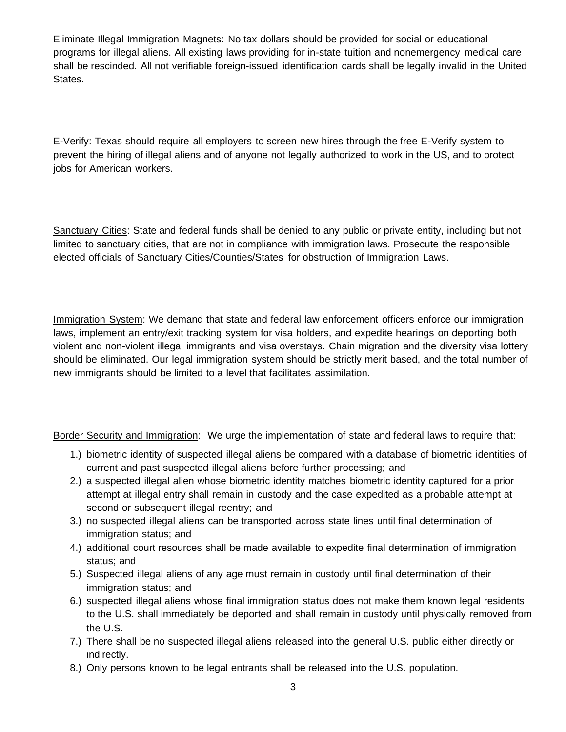Eliminate Illegal Immigration Magnets: No tax dollars should be provided for social or educational programs for illegal aliens. All existing laws providing for in-state tuition and nonemergency medical care shall be rescinded. All not verifiable foreign-issued identification cards shall be legally invalid in the United States.

E-Verify: Texas should require all employers to screen new hires through the free E-Verify system to prevent the hiring of illegal aliens and of anyone not legally authorized to work in the US, and to protect jobs for American workers.

Sanctuary Cities: State and federal funds shall be denied to any public or private entity, including but not limited to sanctuary cities, that are not in compliance with immigration laws. Prosecute the responsible elected officials of Sanctuary Cities/Counties/States for obstruction of Immigration Laws.

Immigration System: We demand that state and federal law enforcement officers enforce our immigration laws, implement an entry/exit tracking system for visa holders, and expedite hearings on deporting both violent and non-violent illegal immigrants and visa overstays. Chain migration and the diversity visa lottery should be eliminated. Our legal immigration system should be strictly merit based, and the total number of new immigrants should be limited to a level that facilitates assimilation.

Border Security and Immigration: We urge the implementation of state and federal laws to require that:

- 1.) biometric identity of suspected illegal aliens be compared with a database of biometric identities of current and past suspected illegal aliens before further processing; and
- 2.) a suspected illegal alien whose biometric identity matches biometric identity captured for a prior attempt at illegal entry shall remain in custody and the case expedited as a probable attempt at second or subsequent illegal reentry; and
- 3.) no suspected illegal aliens can be transported across state lines until final determination of immigration status; and
- 4.) additional court resources shall be made available to expedite final determination of immigration status; and
- 5.) Suspected illegal aliens of any age must remain in custody until final determination of their immigration status; and
- 6.) suspected illegal aliens whose final immigration status does not make them known legal residents to the U.S. shall immediately be deported and shall remain in custody until physically removed from the U.S.
- 7.) There shall be no suspected illegal aliens released into the general U.S. public either directly or indirectly.
- 8.) Only persons known to be legal entrants shall be released into the U.S. population.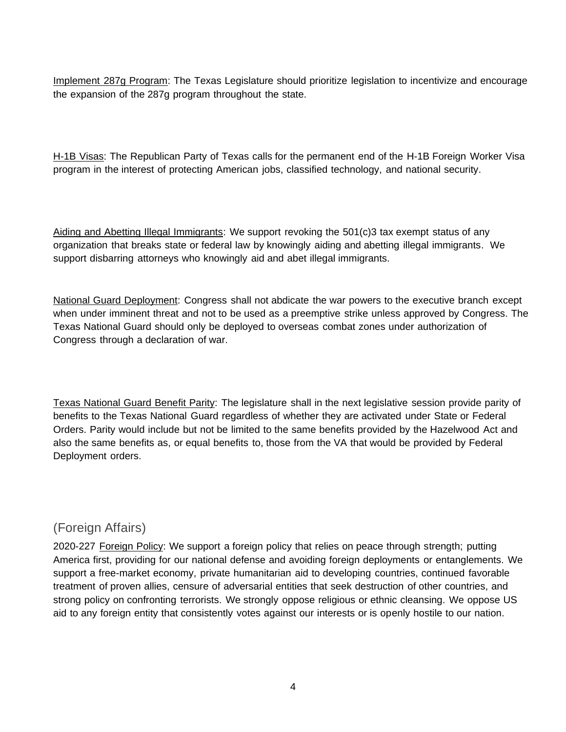Implement 287g Program: The Texas Legislature should prioritize legislation to incentivize and encourage the expansion of the 287g program throughout the state.

H-1B Visas: The Republican Party of Texas calls for the permanent end of the H-1B Foreign Worker Visa program in the interest of protecting American jobs, classified technology, and national security.

Aiding and Abetting Illegal Immigrants: We support revoking the 501(c)3 tax exempt status of any organization that breaks state or federal law by knowingly aiding and abetting illegal immigrants. We support disbarring attorneys who knowingly aid and abet illegal immigrants.

National Guard Deployment: Congress shall not abdicate the war powers to the executive branch except when under imminent threat and not to be used as a preemptive strike unless approved by Congress. The Texas National Guard should only be deployed to overseas combat zones under authorization of Congress through a declaration of war.

Texas National Guard Benefit Parity: The legislature shall in the next legislative session provide parity of benefits to the Texas National Guard regardless of whether they are activated under State or Federal Orders. Parity would include but not be limited to the same benefits provided by the Hazelwood Act and also the same benefits as, or equal benefits to, those from the VA that would be provided by Federal Deployment orders.

## (Foreign Affairs)

2020-227 Foreign Policy: We support a foreign policy that relies on peace through strength; putting America first, providing for our national defense and avoiding foreign deployments or entanglements. We support a free-market economy, private humanitarian aid to developing countries, continued favorable treatment of proven allies, censure of adversarial entities that seek destruction of other countries, and strong policy on confronting terrorists. We strongly oppose religious or ethnic cleansing. We oppose US aid to any foreign entity that consistently votes against our interests or is openly hostile to our nation.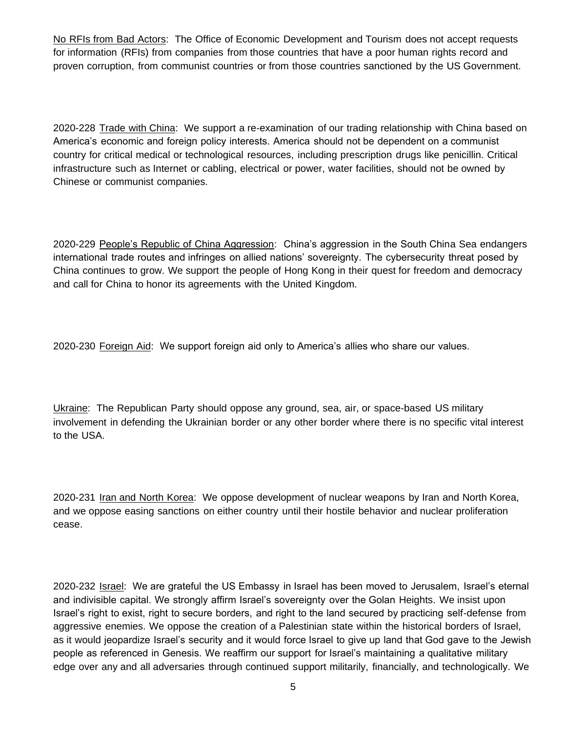No RFIs from Bad Actors: The Office of Economic Development and Tourism does not accept requests for information (RFIs) from companies from those countries that have a poor human rights record and proven corruption, from communist countries or from those countries sanctioned by the US Government.

2020-228 Trade with China: We support a re-examination of our trading relationship with China based on America's economic and foreign policy interests. America should not be dependent on a communist country for critical medical or technological resources, including prescription drugs like penicillin. Critical infrastructure such as Internet or cabling, electrical or power, water facilities, should not be owned by Chinese or communist companies.

2020-229 People's Republic of China Aggression: China's aggression in the South China Sea endangers international trade routes and infringes on allied nations' sovereignty. The cybersecurity threat posed by China continues to grow. We support the people of Hong Kong in their quest for freedom and democracy and call for China to honor its agreements with the United Kingdom.

2020-230 Foreign Aid: We support foreign aid only to America's allies who share our values.

Ukraine: The Republican Party should oppose any ground, sea, air, or space-based US military involvement in defending the Ukrainian border or any other border where there is no specific vital interest to the USA.

2020-231 Iran and North Korea: We oppose development of nuclear weapons by Iran and North Korea, and we oppose easing sanctions on either country until their hostile behavior and nuclear proliferation cease.

2020-232 Israel: We are grateful the US Embassy in Israel has been moved to Jerusalem, Israel's eternal and indivisible capital. We strongly affirm Israel's sovereignty over the Golan Heights. We insist upon Israel's right to exist, right to secure borders, and right to the land secured by practicing self-defense from aggressive enemies. We oppose the creation of a Palestinian state within the historical borders of Israel, as it would jeopardize Israel's security and it would force Israel to give up land that God gave to the Jewish people as referenced in Genesis. We reaffirm our support for Israel's maintaining a qualitative military edge over any and all adversaries through continued support militarily, financially, and technologically. We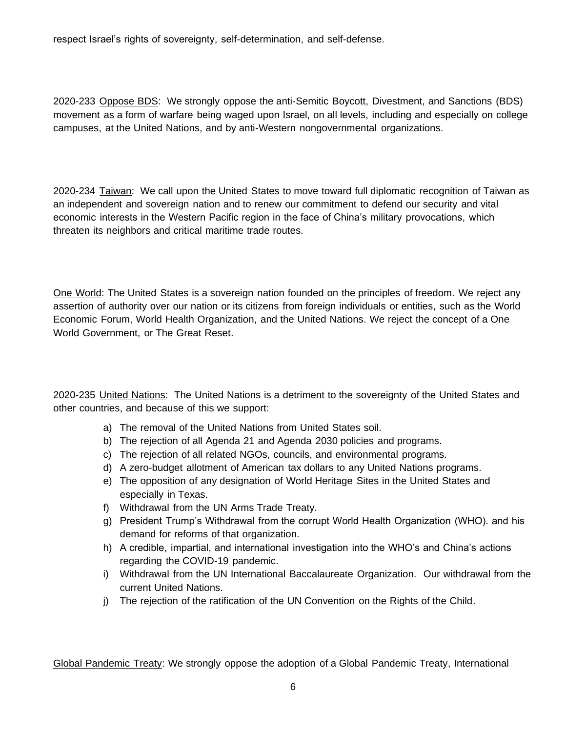respect Israel's rights of sovereignty, self-determination, and self-defense.

2020-233 Oppose BDS: We strongly oppose the anti-Semitic Boycott, Divestment, and Sanctions (BDS) movement as a form of warfare being waged upon Israel, on all levels, including and especially on college campuses, at the United Nations, and by anti-Western nongovernmental organizations.

2020-234 Taiwan: We call upon the United States to move toward full diplomatic recognition of Taiwan as an independent and sovereign nation and to renew our commitment to defend our security and vital economic interests in the Western Pacific region in the face of China's military provocations, which threaten its neighbors and critical maritime trade routes.

One World: The United States is a sovereign nation founded on the principles of freedom. We reject any assertion of authority over our nation or its citizens from foreign individuals or entities, such as the World Economic Forum, World Health Organization, and the United Nations. We reject the concept of a One World Government, or The Great Reset.

2020-235 United Nations: The United Nations is a detriment to the sovereignty of the United States and other countries, and because of this we support:

- a) The removal of the United Nations from United States soil.
- b) The rejection of all Agenda 21 and Agenda 2030 policies and programs.
- c) The rejection of all related NGOs, councils, and environmental programs.
- d) A zero-budget allotment of American tax dollars to any United Nations programs.
- e) The opposition of any designation of World Heritage Sites in the United States and especially in Texas.
- f) Withdrawal from the UN Arms Trade Treaty.
- g) President Trump's Withdrawal from the corrupt World Health Organization (WHO). and his demand for reforms of that organization.
- h) A credible, impartial, and international investigation into the WHO's and China's actions regarding the COVID-19 pandemic.
- i) Withdrawal from the UN International Baccalaureate Organization. Our withdrawal from the current United Nations.
- j) The rejection of the ratification of the UN Convention on the Rights of the Child.

Global Pandemic Treaty: We strongly oppose the adoption of a Global Pandemic Treaty, International